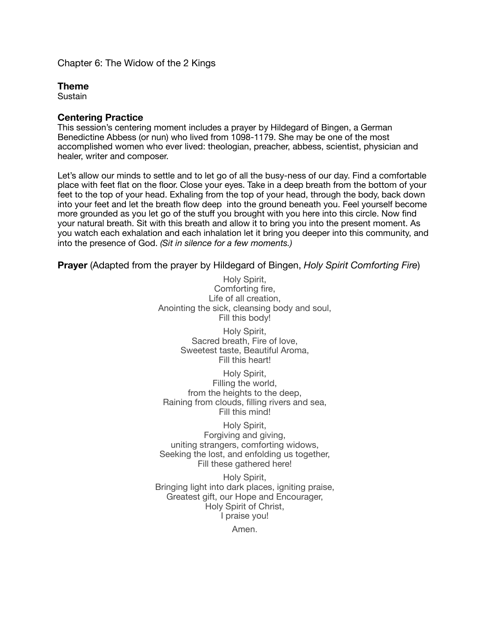Chapter 6: The Widow of the 2 Kings

#### **Theme**

Sustain

#### **Centering Practice**

This session's centering moment includes a prayer by Hildegard of Bingen, a German Benedictine Abbess (or nun) who lived from 1098-1179. She may be one of the most accomplished women who ever lived: theologian, preacher, abbess, scientist, physician and healer, writer and composer.

Let's allow our minds to settle and to let go of all the busy-ness of our day. Find a comfortable place with feet flat on the floor. Close your eyes. Take in a deep breath from the bottom of your feet to the top of your head. Exhaling from the top of your head, through the body, back down into your feet and let the breath flow deep into the ground beneath you. Feel yourself become more grounded as you let go of the stuff you brought with you here into this circle. Now find your natural breath. Sit with this breath and allow it to bring you into the present moment. As you watch each exhalation and each inhalation let it bring you deeper into this community, and into the presence of God. *(Sit in silence for a few moments.)* 

**Prayer** (Adapted from the prayer by Hildegard of Bingen, *Holy Spirit Comforting Fire*)

Holy Spirit, Comforting fire, Life of all creation, Anointing the sick, cleansing body and soul, Fill this body!

> Holy Spirit, Sacred breath, Fire of love, Sweetest taste, Beautiful Aroma, Fill this heart!

Holy Spirit, Filling the world, from the heights to the deep. Raining from clouds, filling rivers and sea, Fill this mind!

Holy Spirit, Forgiving and giving, uniting strangers, comforting widows, Seeking the lost, and enfolding us together, Fill these gathered here!

Holy Spirit, Bringing light into dark places, igniting praise, Greatest gift, our Hope and Encourager, Holy Spirit of Christ, I praise you!

Amen.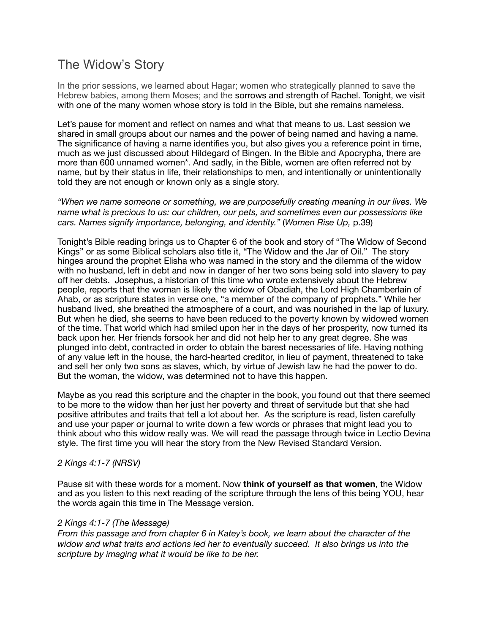# The Widow's Story

In the prior sessions, we learned about Hagar; women who strategically planned to save the Hebrew babies, among them Moses; and the sorrows and strength of Rachel. Tonight, we visit with one of the many women whose story is told in the Bible, but she remains nameless.

Let's pause for moment and reflect on names and what that means to us. Last session we shared in small groups about our names and the power of being named and having a name. The significance of having a name identifies you, but also gives you a reference point in time, much as we just discussed about Hildegard of Bingen. In the Bible and Apocrypha, there are more than 600 unnamed women\*. And sadly, in the Bible, women are often referred not by name, but by their status in life, their relationships to men, and intentionally or unintentionally told they are not enough or known only as a single story.

*"When we name someone or something, we are purposefully creating meaning in our lives. We name what is precious to us: our children, our pets, and sometimes even our possessions like cars. Names signify importance, belonging, and identity."* (*Women Rise Up,* p.39)

Tonight's Bible reading brings us to Chapter 6 of the book and story of "The Widow of Second Kings" or as some Biblical scholars also title it, "The Widow and the Jar of Oil." The story hinges around the prophet Elisha who was named in the story and the dilemma of the widow with no husband, left in debt and now in danger of her two sons being sold into slavery to pay off her debts. Josephus, a historian of this time who wrote extensively about the Hebrew people, reports that the woman is likely the widow of Obadiah, the Lord High Chamberlain of Ahab, or as scripture states in verse one, "a member of the company of prophets." While her husband lived, she breathed the atmosphere of a court, and was nourished in the lap of luxury. But when he died, she seems to have been reduced to the poverty known by widowed women of the time. That world which had smiled upon her in the days of her prosperity, now turned its back upon her. Her friends forsook her and did not help her to any great degree. She was plunged into debt, contracted in order to obtain the barest necessaries of life. Having nothing of any value left in the house, the hard-hearted creditor, in lieu of payment, threatened to take and sell her only two sons as slaves, which, by virtue of Jewish law he had the power to do. But the woman, the widow, was determined not to have this happen.

Maybe as you read this scripture and the chapter in the book, you found out that there seemed to be more to the widow than her just her poverty and threat of servitude but that she had positive attributes and traits that tell a lot about her. As the scripture is read, listen carefully and use your paper or journal to write down a few words or phrases that might lead you to think about who this widow really was. We will read the passage through twice in Lectio Devina style. The first time you will hear the story from the New Revised Standard Version.

#### *2 Kings 4:1-7 (NRSV)*

Pause sit with these words for a moment. Now **think of yourself as that women**, the Widow and as you listen to this next reading of the scripture through the lens of this being YOU, hear the words again this time in The Message version.

#### *2 Kings 4:1-7 (The Message)*

*From this passage and from chapter 6 in Katey's book, we learn about the character of the widow and what traits and actions led her to eventually succeed. It also brings us into the scripture by imaging what it would be like to be her.*